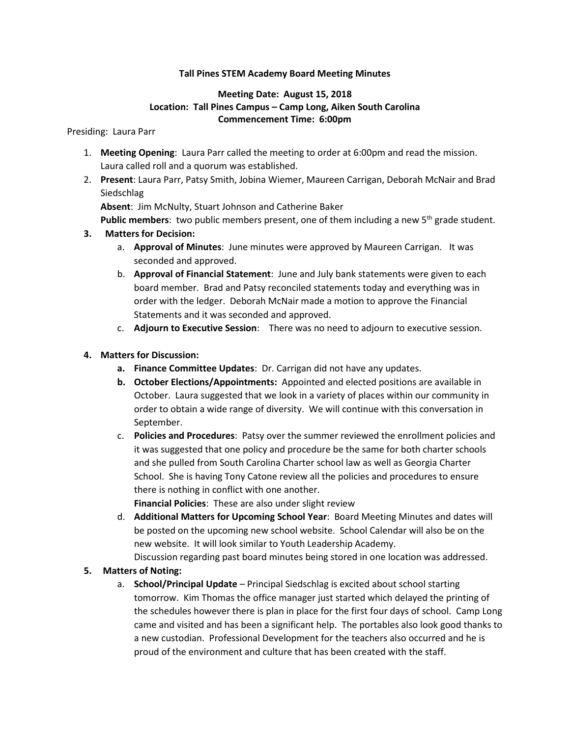### **Tall Pines STEM Academy Board Meeting Minutes**

## **Meeting Date: August 15, 2018 Location: Tall Pines Campus – Camp Long, Aiken South Carolina Commencement Time: 6:00pm**

#### Presiding: Laura Parr

- 1. **Meeting Opening**: Laura Parr called the meeting to order at 6:00pm and read the mission. Laura called roll and a quorum was established.
- 2. **Present**: Laura Parr, Patsy Smith, Jobina Wiemer, Maureen Carrigan, Deborah McNair and Brad **Siedschlag**

**Absent**: Jim McNulty, Stuart Johnson and Catherine Baker

Public members: two public members present, one of them including a new 5<sup>th</sup> grade student.

### **3. Matters for Decision:**

- a. **Approval of Minutes**: June minutes were approved by Maureen Carrigan. It was seconded and approved.
- b. **Approval of Financial Statement**: June and July bank statements were given to each board member. Brad and Patsy reconciled statements today and everything was in order with the ledger. Deborah McNair made a motion to approve the Financial Statements and it was seconded and approved.
- c. **Adjourn to Executive Session**: There was no need to adjourn to executive session.

### **4. Matters for Discussion:**

- **a. Finance Committee Updates**: Dr. Carrigan did not have any updates.
- **b. October Elections/Appointments:** Appointed and elected positions are available in October. Laura suggested that we look in a variety of places within our community in order to obtain a wide range of diversity. We will continue with this conversation in September.
- c. **Policies and Procedures**: Patsy over the summer reviewed the enrollment policies and it was suggested that one policy and procedure be the same for both charter schools and she pulled from South Carolina Charter school law as well as Georgia Charter School. She is having Tony Catone review all the policies and procedures to ensure there is nothing in conflict with one another.

**Financial Policies**: These are also under slight review

d. **Additional Matters for Upcoming School Year**: Board Meeting Minutes and dates will be posted on the upcoming new school website. School Calendar will also be on the new website. It will look similar to Youth Leadership Academy. Discussion regarding past board minutes being stored in one location was addressed.

#### **5. Matters of Noting:**

a. **School/Principal Update** – Principal Siedschlag is excited about school starting tomorrow. Kim Thomas the office manager just started which delayed the printing of the schedules however there is plan in place for the first four days of school. Camp Long came and visited and has been a significant help. The portables also look good thanks to a new custodian. Professional Development for the teachers also occurred and he is proud of the environment and culture that has been created with the staff.